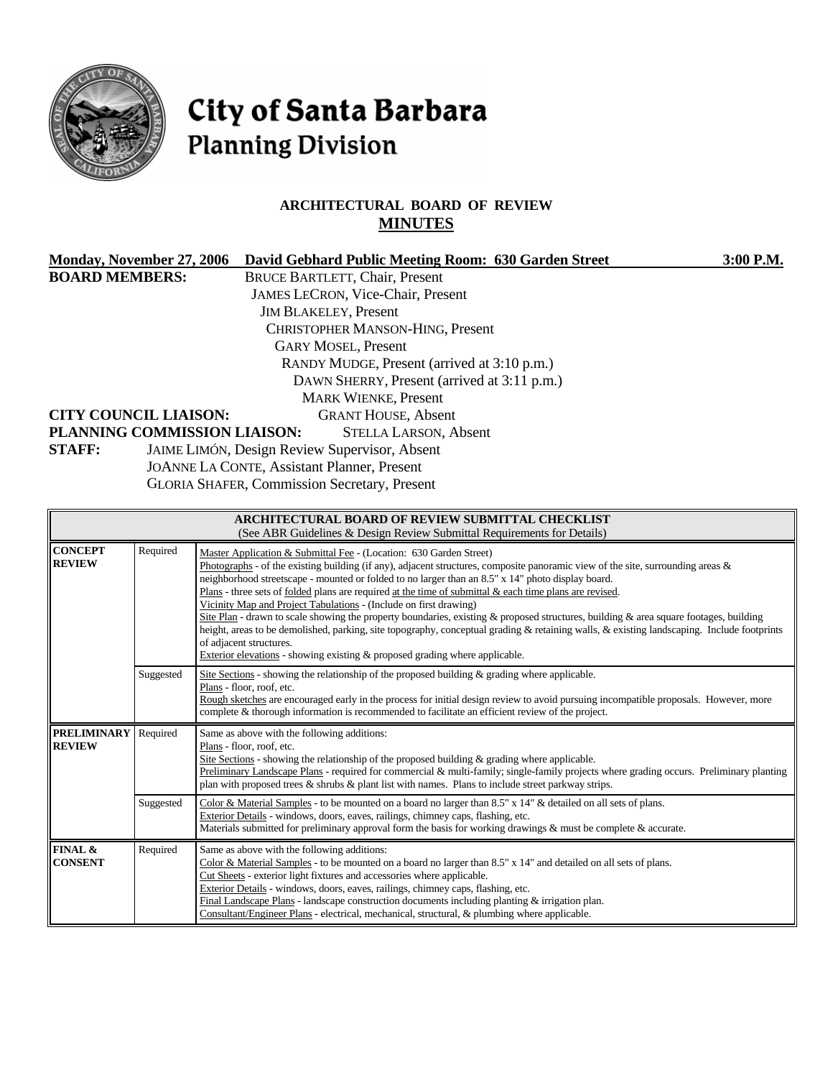

# City of Santa Barbara **Planning Division**

# **ARCHITECTURAL BOARD OF REVIEW MINUTES**

| Monday, November 27, 2006<br>David Gebhard Public Meeting Room: 630 Garden Street |                                          | 3:00 P.M. |  |  |
|-----------------------------------------------------------------------------------|------------------------------------------|-----------|--|--|
| <b>BOARD MEMBERS:</b>                                                             | <b>BRUCE BARTLETT, Chair, Present</b>    |           |  |  |
|                                                                                   | <b>JAMES LECRON, Vice-Chair, Present</b> |           |  |  |
|                                                                                   | <b>JIM BLAKELEY, Present</b>             |           |  |  |
| CHRISTOPHER MANSON-HING, Present                                                  |                                          |           |  |  |
| <b>GARY MOSEL, Present</b>                                                        |                                          |           |  |  |
| RANDY MUDGE, Present (arrived at 3:10 p.m.)                                       |                                          |           |  |  |
| DAWN SHERRY, Present (arrived at 3:11 p.m.)                                       |                                          |           |  |  |
|                                                                                   | <b>MARK WIENKE, Present</b>              |           |  |  |
| <b>CITY COUNCIL LIAISON:</b><br><b>GRANT HOUSE, Absent</b>                        |                                          |           |  |  |
| PLANNING COMMISSION LIAISON:                                                      | <b>STELLA LARSON, Absent</b>             |           |  |  |
| JAIME LIMÓN, Design Review Supervisor, Absent<br><b>STAFF:</b>                    |                                          |           |  |  |
| <b>JOANNE LA CONTE, Assistant Planner, Present</b>                                |                                          |           |  |  |
| <b>GLORIA SHAFER, Commission Secretary, Present</b>                               |                                          |           |  |  |

| <b>ARCHITECTURAL BOARD OF REVIEW SUBMITTAL CHECKLIST</b><br>(See ABR Guidelines & Design Review Submittal Requirements for Details) |           |                                                                                                                                                                                                                                                                                                                                                                                                                                                                                                                                                                                                                                                                                                                                                                                                                                                                                                      |  |  |
|-------------------------------------------------------------------------------------------------------------------------------------|-----------|------------------------------------------------------------------------------------------------------------------------------------------------------------------------------------------------------------------------------------------------------------------------------------------------------------------------------------------------------------------------------------------------------------------------------------------------------------------------------------------------------------------------------------------------------------------------------------------------------------------------------------------------------------------------------------------------------------------------------------------------------------------------------------------------------------------------------------------------------------------------------------------------------|--|--|
| <b>CONCEPT</b><br><b>REVIEW</b>                                                                                                     | Required  | Master Application & Submittal Fee - (Location: 630 Garden Street)<br>Photographs - of the existing building (if any), adjacent structures, composite panoramic view of the site, surrounding areas &<br>neighborhood streetscape - mounted or folded to no larger than an 8.5" x 14" photo display board.<br>Plans - three sets of folded plans are required at the time of submittal $\&$ each time plans are revised.<br>Vicinity Map and Project Tabulations - (Include on first drawing)<br>Site Plan - drawn to scale showing the property boundaries, existing $\&$ proposed structures, building $\&$ area square footages, building<br>height, areas to be demolished, parking, site topography, conceptual grading & retaining walls, & existing landscaping. Include footprints<br>of adjacent structures.<br>Exterior elevations - showing existing & proposed grading where applicable. |  |  |
|                                                                                                                                     | Suggested | Site Sections - showing the relationship of the proposed building $\&$ grading where applicable.<br>Plans - floor, roof, etc.<br>Rough sketches are encouraged early in the process for initial design review to avoid pursuing incompatible proposals. However, more<br>complete & thorough information is recommended to facilitate an efficient review of the project.                                                                                                                                                                                                                                                                                                                                                                                                                                                                                                                            |  |  |
| <b>PRELIMINARY</b><br><b>REVIEW</b>                                                                                                 | Required  | Same as above with the following additions:<br>Plans - floor, roof, etc.<br>Site Sections - showing the relationship of the proposed building $\&$ grading where applicable.<br>Preliminary Landscape Plans - required for commercial & multi-family; single-family projects where grading occurs. Preliminary planting<br>plan with proposed trees $\&$ shrubs $\&$ plant list with names. Plans to include street parkway strips.                                                                                                                                                                                                                                                                                                                                                                                                                                                                  |  |  |
|                                                                                                                                     | Suggested | Color & Material Samples - to be mounted on a board no larger than 8.5" x 14" & detailed on all sets of plans.<br>Exterior Details - windows, doors, eaves, railings, chimney caps, flashing, etc.<br>Materials submitted for preliminary approval form the basis for working drawings & must be complete & accurate.                                                                                                                                                                                                                                                                                                                                                                                                                                                                                                                                                                                |  |  |
| FINAL &<br><b>CONSENT</b>                                                                                                           | Required  | Same as above with the following additions:<br>Color & Material Samples - to be mounted on a board no larger than $8.5" \times 14"$ and detailed on all sets of plans.<br>Cut Sheets - exterior light fixtures and accessories where applicable.<br>Exterior Details - windows, doors, eaves, railings, chimney caps, flashing, etc.<br>Final Landscape Plans - landscape construction documents including planting $&$ irrigation plan.<br>Consultant/Engineer Plans - electrical, mechanical, structural, & plumbing where applicable.                                                                                                                                                                                                                                                                                                                                                             |  |  |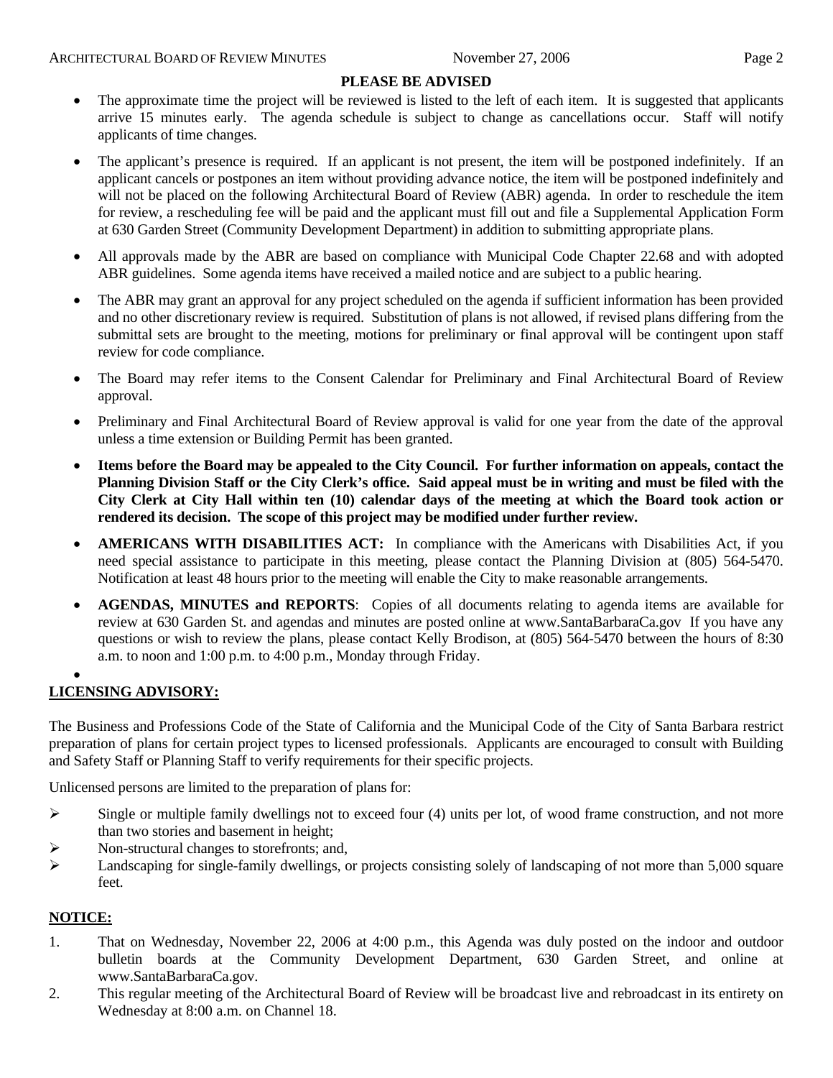## **PLEASE BE ADVISED**

- The approximate time the project will be reviewed is listed to the left of each item. It is suggested that applicants arrive 15 minutes early. The agenda schedule is subject to change as cancellations occur. Staff will notify applicants of time changes.
- The applicant's presence is required. If an applicant is not present, the item will be postponed indefinitely. If an applicant cancels or postpones an item without providing advance notice, the item will be postponed indefinitely and will not be placed on the following Architectural Board of Review (ABR) agenda. In order to reschedule the item for review, a rescheduling fee will be paid and the applicant must fill out and file a Supplemental Application Form at 630 Garden Street (Community Development Department) in addition to submitting appropriate plans.
- All approvals made by the ABR are based on compliance with Municipal Code Chapter 22.68 and with adopted ABR guidelines. Some agenda items have received a mailed notice and are subject to a public hearing.
- The ABR may grant an approval for any project scheduled on the agenda if sufficient information has been provided and no other discretionary review is required. Substitution of plans is not allowed, if revised plans differing from the submittal sets are brought to the meeting, motions for preliminary or final approval will be contingent upon staff review for code compliance.
- The Board may refer items to the Consent Calendar for Preliminary and Final Architectural Board of Review approval.
- Preliminary and Final Architectural Board of Review approval is valid for one year from the date of the approval unless a time extension or Building Permit has been granted.
- **Items before the Board may be appealed to the City Council. For further information on appeals, contact the Planning Division Staff or the City Clerk's office. Said appeal must be in writing and must be filed with the City Clerk at City Hall within ten (10) calendar days of the meeting at which the Board took action or rendered its decision. The scope of this project may be modified under further review.**
- **AMERICANS WITH DISABILITIES ACT:** In compliance with the Americans with Disabilities Act, if you need special assistance to participate in this meeting, please contact the Planning Division at (805) 564-5470. Notification at least 48 hours prior to the meeting will enable the City to make reasonable arrangements.
- **AGENDAS, MINUTES and REPORTS**: Copies of all documents relating to agenda items are available for review at 630 Garden St. and agendas and minutes are posted online at [www.SantaBarbaraCa.gov](http://www.santabarbaraca.gov/) If you have any questions or wish to review the plans, please contact Kelly Brodison, at (805) 564-5470 between the hours of 8:30 a.m. to noon and 1:00 p.m. to 4:00 p.m., Monday through Friday.

#### • **LICENSING ADVISORY:**

The Business and Professions Code of the State of California and the Municipal Code of the City of Santa Barbara restrict preparation of plans for certain project types to licensed professionals. Applicants are encouraged to consult with Building and Safety Staff or Planning Staff to verify requirements for their specific projects.

Unlicensed persons are limited to the preparation of plans for:

- $\triangleright$  Single or multiple family dwellings not to exceed four (4) units per lot, of wood frame construction, and not more than two stories and basement in height;
- ¾ Non-structural changes to storefronts; and,
- $\blacktriangleright$  Landscaping for single-family dwellings, or projects consisting solely of landscaping of not more than 5,000 square feet.

# **NOTICE:**

- 1. That on Wednesday, November 22, 2006 at 4:00 p.m., this Agenda was duly posted on the indoor and outdoor bulletin boards at the Community Development Department, 630 Garden Street, and online at www.SantaBarbaraCa.gov.
- 2. This regular meeting of the Architectural Board of Review will be broadcast live and rebroadcast in its entirety on Wednesday at 8:00 a.m. on Channel 18.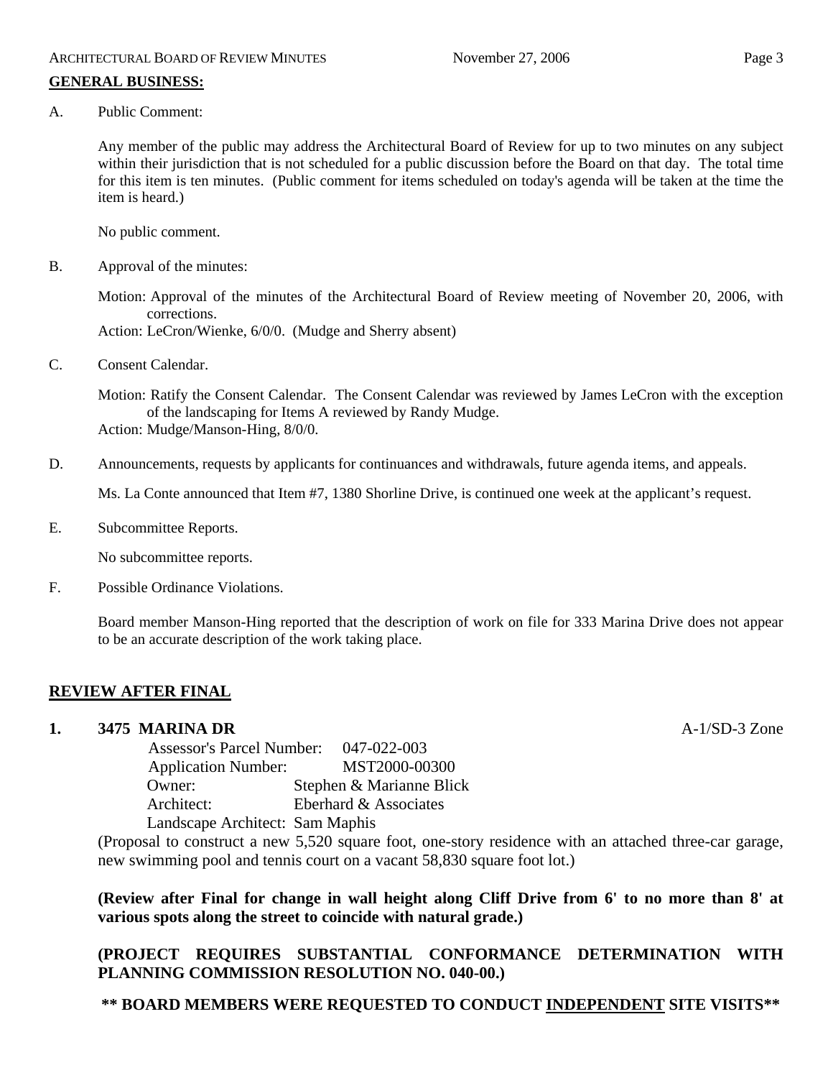# **GENERAL BUSINESS:**

A. Public Comment:

Any member of the public may address the Architectural Board of Review for up to two minutes on any subject within their jurisdiction that is not scheduled for a public discussion before the Board on that day. The total time for this item is ten minutes. (Public comment for items scheduled on today's agenda will be taken at the time the item is heard.)

No public comment.

B. Approval of the minutes:

Motion: Approval of the minutes of the Architectural Board of Review meeting of November 20, 2006, with corrections.

Action: LeCron/Wienke, 6/0/0. (Mudge and Sherry absent)

C. Consent Calendar.

Motion: Ratify the Consent Calendar. The Consent Calendar was reviewed by James LeCron with the exception of the landscaping for Items A reviewed by Randy Mudge. Action: Mudge/Manson-Hing, 8/0/0.

D. Announcements, requests by applicants for continuances and withdrawals, future agenda items, and appeals.

Ms. La Conte announced that Item #7, 1380 Shorline Drive, is continued one week at the applicant's request.

E. Subcommittee Reports.

No subcommittee reports.

F. Possible Ordinance Violations.

Board member Manson-Hing reported that the description of work on file for 333 Marina Drive does not appear to be an accurate description of the work taking place.

# **REVIEW AFTER FINAL**

# **1. 3475 MARINA DR** A-1/SD-3 Zone

 Assessor's Parcel Number: 047-022-003 Application Number: MST2000-00300 Owner: Stephen & Marianne Blick Architect: Eberhard & Associates Landscape Architect: Sam Maphis

(Proposal to construct a new 5,520 square foot, one-story residence with an attached three-car garage, new swimming pool and tennis court on a vacant 58,830 square foot lot.)

**(Review after Final for change in wall height along Cliff Drive from 6' to no more than 8' at various spots along the street to coincide with natural grade.)**

# **(PROJECT REQUIRES SUBSTANTIAL CONFORMANCE DETERMINATION WITH PLANNING COMMISSION RESOLUTION NO. 040-00.)**

# **\*\* BOARD MEMBERS WERE REQUESTED TO CONDUCT INDEPENDENT SITE VISITS\*\***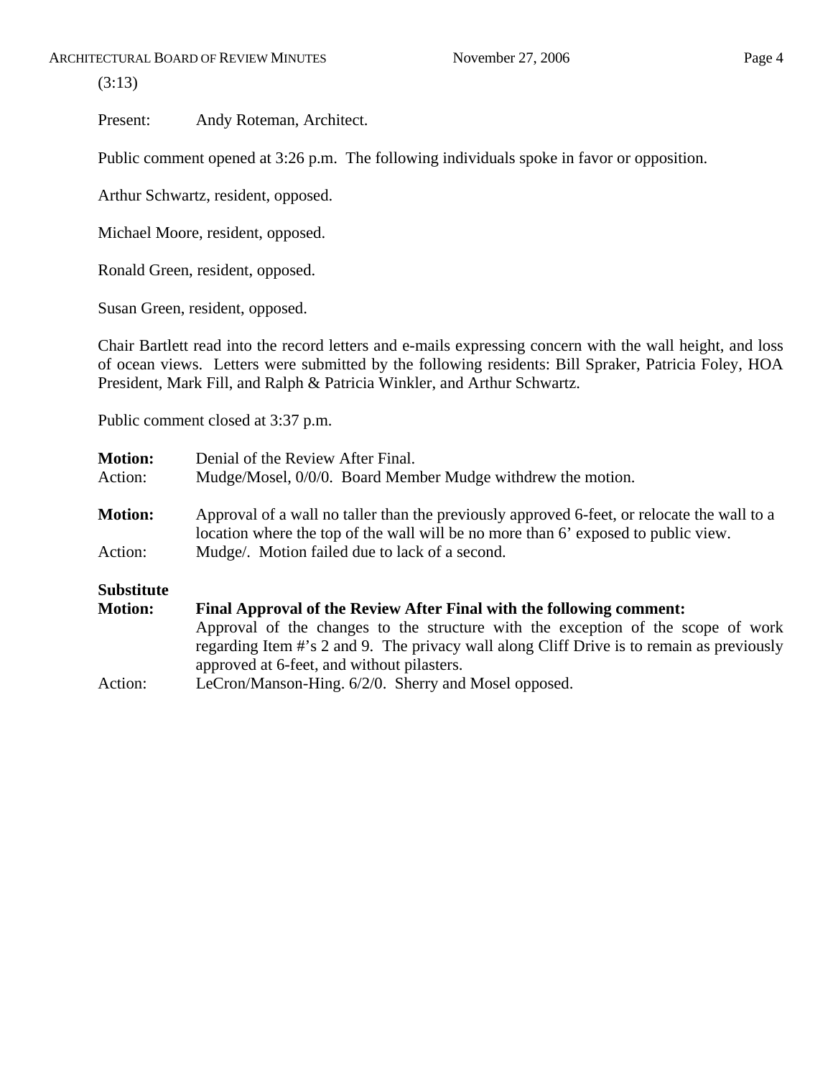(3:13)

Present: Andy Roteman, Architect.

Public comment opened at 3:26 p.m. The following individuals spoke in favor or opposition.

Arthur Schwartz, resident, opposed.

Michael Moore, resident, opposed.

Ronald Green, resident, opposed.

Susan Green, resident, opposed.

Chair Bartlett read into the record letters and e-mails expressing concern with the wall height, and loss of ocean views. Letters were submitted by the following residents: Bill Spraker, Patricia Foley, HOA President, Mark Fill, and Ralph & Patricia Winkler, and Arthur Schwartz.

Public comment closed at 3:37 p.m.

| <b>Motion:</b><br>Action:                                                              | Denial of the Review After Final.<br>Mudge/Mosel, 0/0/0. Board Member Mudge withdrew the motion.                                                                                                                            |  |
|----------------------------------------------------------------------------------------|-----------------------------------------------------------------------------------------------------------------------------------------------------------------------------------------------------------------------------|--|
| <b>Motion:</b>                                                                         | Approval of a wall no taller than the previously approved 6-feet, or relocate the wall to a<br>location where the top of the wall will be no more than 6' exposed to public view.                                           |  |
| Action:                                                                                | Mudge/. Motion failed due to lack of a second.                                                                                                                                                                              |  |
| <b>Substitute</b>                                                                      |                                                                                                                                                                                                                             |  |
| <b>Motion:</b><br>Final Approval of the Review After Final with the following comment: |                                                                                                                                                                                                                             |  |
|                                                                                        | Approval of the changes to the structure with the exception of the scope of work<br>regarding Item #'s 2 and 9. The privacy wall along Cliff Drive is to remain as previously<br>approved at 6-feet, and without pilasters. |  |
| Action:                                                                                | LeCron/Manson-Hing. 6/2/0. Sherry and Mosel opposed.                                                                                                                                                                        |  |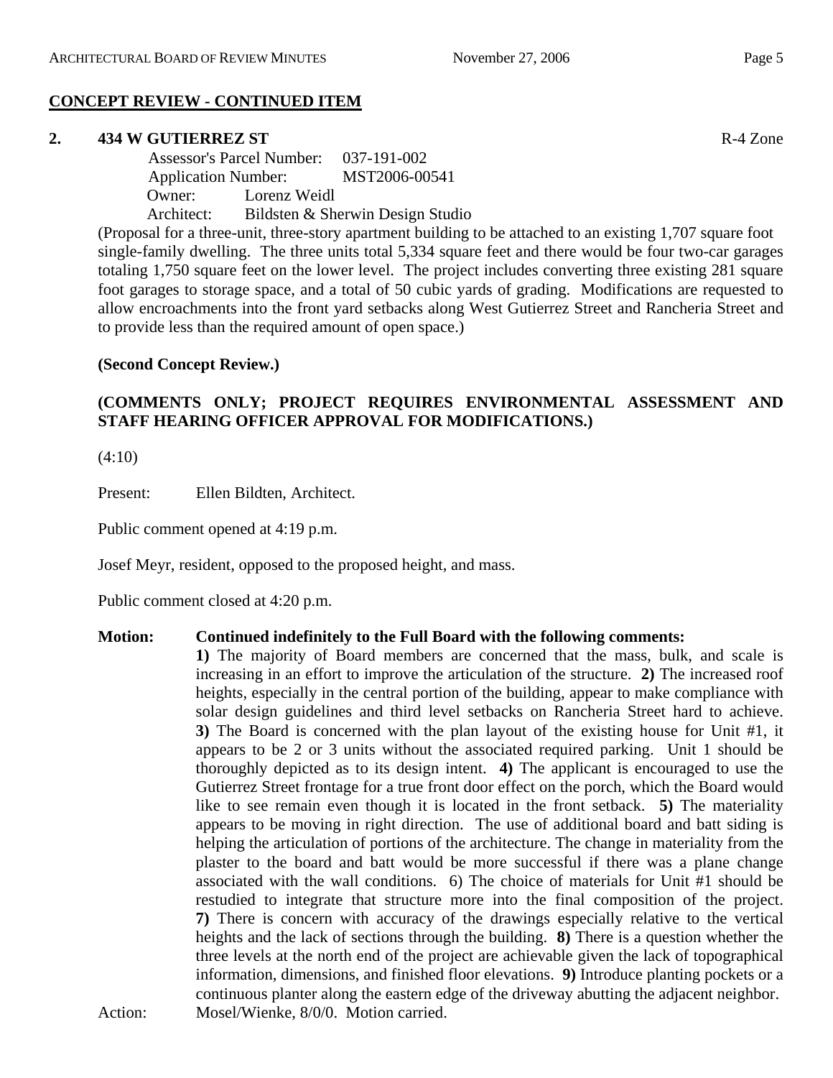# **CONCEPT REVIEW - CONTINUED ITEM**

## **2. 434 W GUTIERREZ ST** R-4 Zone

 Assessor's Parcel Number: 037-191-002 Application Number: MST2006-00541 Owner: Lorenz Weidl Architect: Bildsten & Sherwin Design Studio

(Proposal for a three-unit, three-story apartment building to be attached to an existing 1,707 square foot single-family dwelling. The three units total 5,334 square feet and there would be four two-car garages totaling 1,750 square feet on the lower level. The project includes converting three existing 281 square foot garages to storage space, and a total of 50 cubic yards of grading. Modifications are requested to allow encroachments into the front yard setbacks along West Gutierrez Street and Rancheria Street and to provide less than the required amount of open space.)

# **(Second Concept Review.)**

# **(COMMENTS ONLY; PROJECT REQUIRES ENVIRONMENTAL ASSESSMENT AND STAFF HEARING OFFICER APPROVAL FOR MODIFICATIONS.)**

(4:10)

Present: Ellen Bildten, Architect.

Public comment opened at 4:19 p.m.

Josef Meyr, resident, opposed to the proposed height, and mass.

Public comment closed at 4:20 p.m.

#### **Motion: Continued indefinitely to the Full Board with the following comments:**

**1)** The majority of Board members are concerned that the mass, bulk, and scale is increasing in an effort to improve the articulation of the structure. **2)** The increased roof heights, especially in the central portion of the building, appear to make compliance with solar design guidelines and third level setbacks on Rancheria Street hard to achieve. **3)** The Board is concerned with the plan layout of the existing house for Unit #1, it appears to be 2 or 3 units without the associated required parking. Unit 1 should be thoroughly depicted as to its design intent. **4)** The applicant is encouraged to use the Gutierrez Street frontage for a true front door effect on the porch, which the Board would like to see remain even though it is located in the front setback. **5)** The materiality appears to be moving in right direction. The use of additional board and batt siding is helping the articulation of portions of the architecture. The change in materiality from the plaster to the board and batt would be more successful if there was a plane change associated with the wall conditions. 6) The choice of materials for Unit #1 should be restudied to integrate that structure more into the final composition of the project. **7)** There is concern with accuracy of the drawings especially relative to the vertical heights and the lack of sections through the building. **8)** There is a question whether the three levels at the north end of the project are achievable given the lack of topographical information, dimensions, and finished floor elevations. **9)** Introduce planting pockets or a continuous planter along the eastern edge of the driveway abutting the adjacent neighbor. Action: Mosel/Wienke, 8/0/0. Motion carried.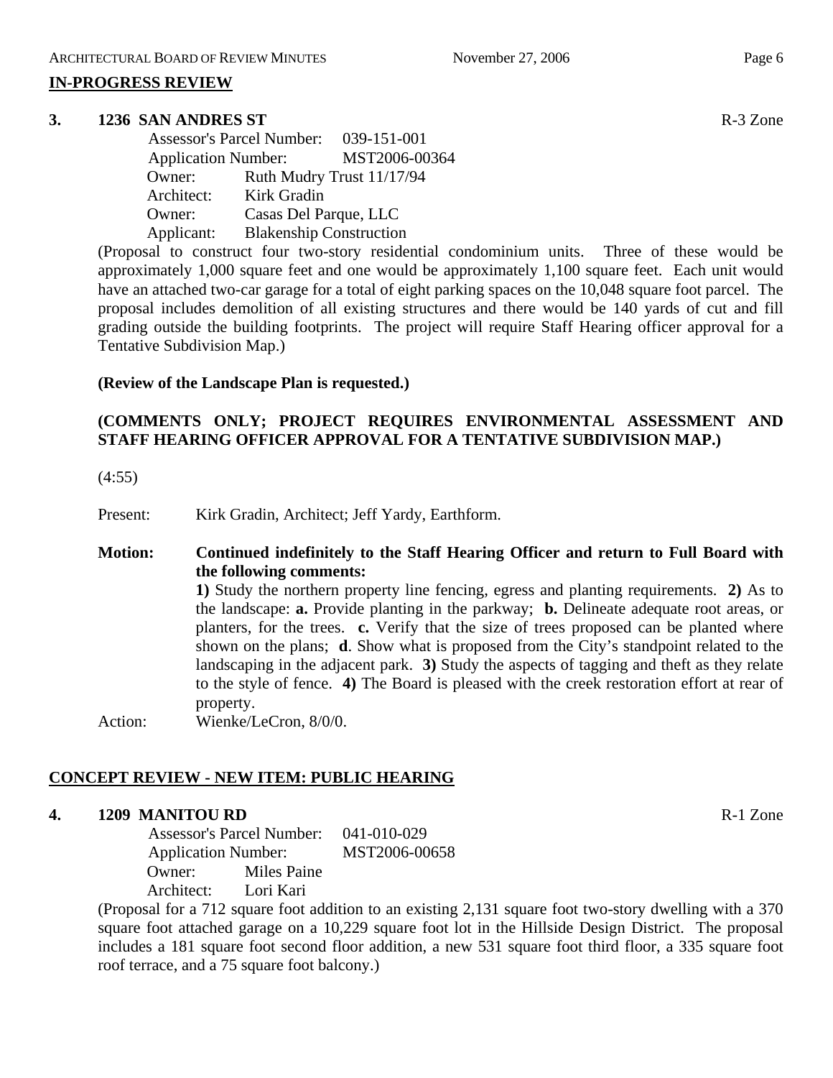#### **IN-PROGRESS REVIEW**

#### **3. 1236 SAN ANDRES ST** R-3 Zone

|                            | Assessor's Parcel Number: 039-151-001 |                           |
|----------------------------|---------------------------------------|---------------------------|
| <b>Application Number:</b> |                                       | MST2006-00364             |
| Owner:                     |                                       | Ruth Mudry Trust 11/17/94 |
| Architect:                 | Kirk Gradin                           |                           |
| Owner:                     | Casas Del Parque, LLC                 |                           |
| Applicant:                 | <b>Blakenship Construction</b>        |                           |

(Proposal to construct four two-story residential condominium units. Three of these would be approximately 1,000 square feet and one would be approximately 1,100 square feet. Each unit would have an attached two-car garage for a total of eight parking spaces on the 10,048 square foot parcel. The proposal includes demolition of all existing structures and there would be 140 yards of cut and fill grading outside the building footprints. The project will require Staff Hearing officer approval for a Tentative Subdivision Map.)

#### **(Review of the Landscape Plan is requested.)**

# **(COMMENTS ONLY; PROJECT REQUIRES ENVIRONMENTAL ASSESSMENT AND STAFF HEARING OFFICER APPROVAL FOR A TENTATIVE SUBDIVISION MAP.)**

(4:55)

Present: Kirk Gradin, Architect; Jeff Yardy, Earthform.

# **Motion: Continued indefinitely to the Staff Hearing Officer and return to Full Board with the following comments:**

**1)** Study the northern property line fencing, egress and planting requirements. **2)** As to the landscape: **a.** Provide planting in the parkway; **b.** Delineate adequate root areas, or planters, for the trees. **c.** Verify that the size of trees proposed can be planted where shown on the plans; **d**. Show what is proposed from the City's standpoint related to the landscaping in the adjacent park. **3)** Study the aspects of tagging and theft as they relate to the style of fence. **4)** The Board is pleased with the creek restoration effort at rear of property.

Action: Wienke/LeCron, 8/0/0.

# **CONCEPT REVIEW - NEW ITEM: PUBLIC HEARING**

# **4. 1209 MANITOU RD** R-1 Zone

 Assessor's Parcel Number: 041-010-029 Application Number: MST2006-00658 Owner: Miles Paine Architect: Lori Kari

(Proposal for a 712 square foot addition to an existing 2,131 square foot two-story dwelling with a 370 square foot attached garage on a 10,229 square foot lot in the Hillside Design District. The proposal includes a 181 square foot second floor addition, a new 531 square foot third floor, a 335 square foot roof terrace, and a 75 square foot balcony.)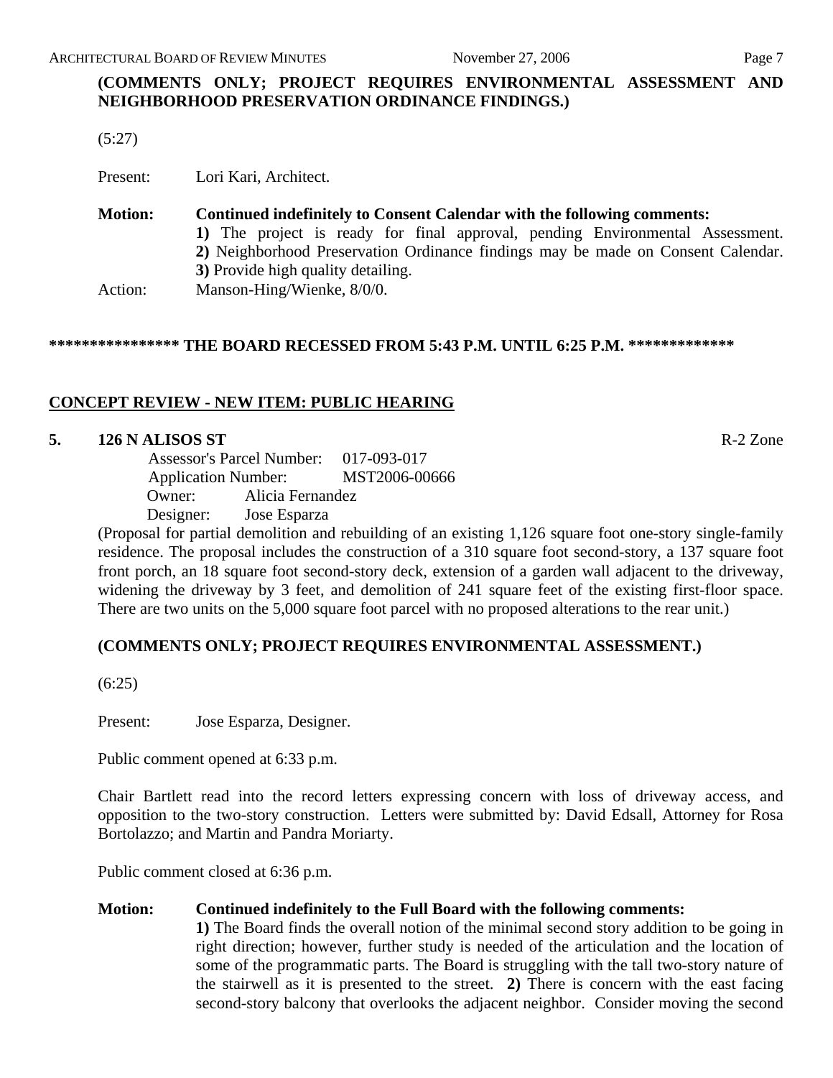# **(COMMENTS ONLY; PROJECT REQUIRES ENVIRONMENTAL ASSESSMENT AND NEIGHBORHOOD PRESERVATION ORDINANCE FINDINGS.)**

(5:27)

Present: Lori Kari, Architect.

# **Motion: Continued indefinitely to Consent Calendar with the following comments: 1)** The project is ready for final approval, pending Environmental Assessment. **2)** Neighborhood Preservation Ordinance findings may be made on Consent Calendar. **3)** Provide high quality detailing. Action: Manson-Hing/Wienke, 8/0/0.

# **\*\*\*\*\*\*\*\*\*\*\*\*\*\*\*\* THE BOARD RECESSED FROM 5:43 P.M. UNTIL 6:25 P.M. \*\*\*\*\*\*\*\*\*\*\*\*\***

# **CONCEPT REVIEW - NEW ITEM: PUBLIC HEARING**

#### **5. 126 N ALISOS ST** R-2 Zone

 Assessor's Parcel Number: 017-093-017 Application Number: MST2006-00666 Owner: Alicia Fernandez Designer: Jose Esparza

(Proposal for partial demolition and rebuilding of an existing 1,126 square foot one-story single-family residence. The proposal includes the construction of a 310 square foot second-story, a 137 square foot front porch, an 18 square foot second-story deck, extension of a garden wall adjacent to the driveway, widening the driveway by 3 feet, and demolition of 241 square feet of the existing first-floor space. There are two units on the 5,000 square foot parcel with no proposed alterations to the rear unit.)

# **(COMMENTS ONLY; PROJECT REQUIRES ENVIRONMENTAL ASSESSMENT.)**

(6:25)

Present: Jose Esparza, Designer.

Public comment opened at 6:33 p.m.

Chair Bartlett read into the record letters expressing concern with loss of driveway access, and opposition to the two-story construction. Letters were submitted by: David Edsall, Attorney for Rosa Bortolazzo; and Martin and Pandra Moriarty.

Public comment closed at 6:36 p.m.

# **Motion: Continued indefinitely to the Full Board with the following comments:**

**1)** The Board finds the overall notion of the minimal second story addition to be going in right direction; however, further study is needed of the articulation and the location of some of the programmatic parts. The Board is struggling with the tall two-story nature of the stairwell as it is presented to the street. **2)** There is concern with the east facing second-story balcony that overlooks the adjacent neighbor. Consider moving the second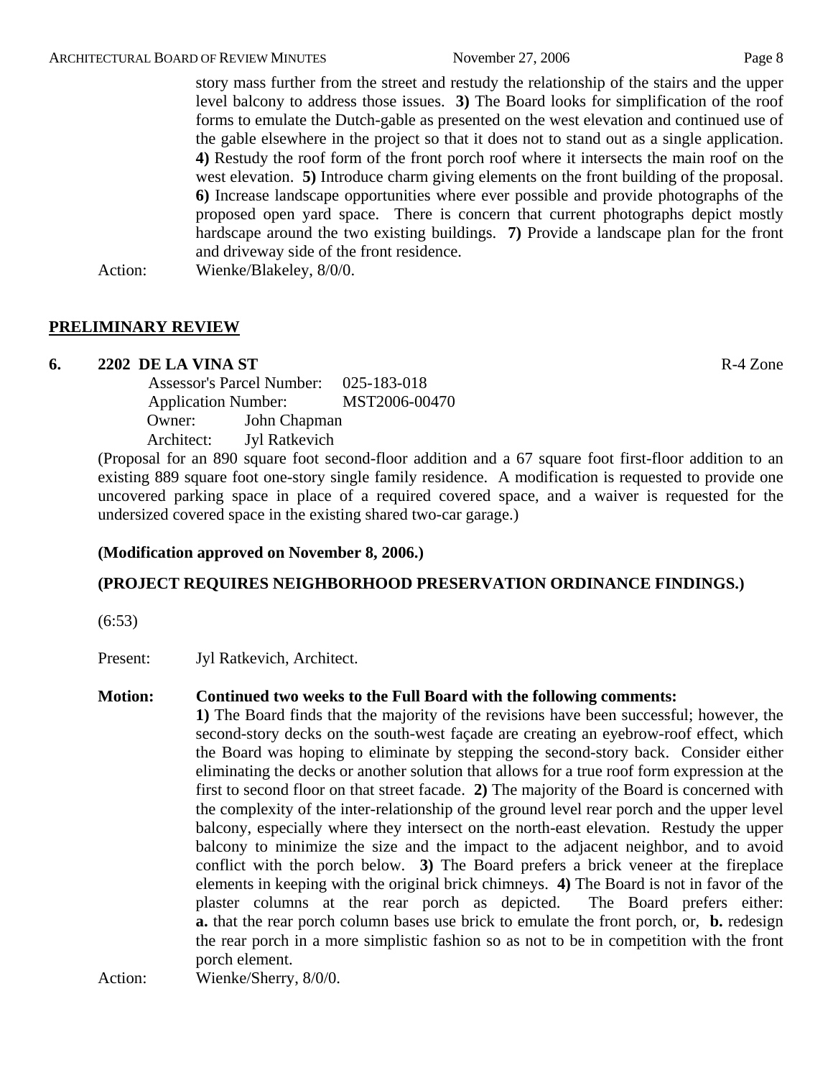story mass further from the street and restudy the relationship of the stairs and the upper level balcony to address those issues. **3)** The Board looks for simplification of the roof forms to emulate the Dutch-gable as presented on the west elevation and continued use of the gable elsewhere in the project so that it does not to stand out as a single application. **4)** Restudy the roof form of the front porch roof where it intersects the main roof on the west elevation. **5)** Introduce charm giving elements on the front building of the proposal. **6)** Increase landscape opportunities where ever possible and provide photographs of the proposed open yard space. There is concern that current photographs depict mostly hardscape around the two existing buildings. **7)** Provide a landscape plan for the front and driveway side of the front residence.

#### Action: Wienke/Blakeley, 8/0/0.

# **PRELIMINARY REVIEW**

#### **6. 2202 DE LA VINA ST** R-4 Zone

 Assessor's Parcel Number: 025-183-018 Application Number: MST2006-00470 Owner: John Chapman Architect: Jyl Ratkevich

(Proposal for an 890 square foot second-floor addition and a 67 square foot first-floor addition to an existing 889 square foot one-story single family residence. A modification is requested to provide one uncovered parking space in place of a required covered space, and a waiver is requested for the undersized covered space in the existing shared two-car garage.)

#### **(Modification approved on November 8, 2006.)**

# **(PROJECT REQUIRES NEIGHBORHOOD PRESERVATION ORDINANCE FINDINGS.)**

(6:53)

Present: Jyl Ratkevich, Architect.

#### **Motion: Continued two weeks to the Full Board with the following comments:**

**1)** The Board finds that the majority of the revisions have been successful; however, the second-story decks on the south-west façade are creating an eyebrow-roof effect, which the Board was hoping to eliminate by stepping the second-story back. Consider either eliminating the decks or another solution that allows for a true roof form expression at the first to second floor on that street facade. **2)** The majority of the Board is concerned with the complexity of the inter-relationship of the ground level rear porch and the upper level balcony, especially where they intersect on the north-east elevation. Restudy the upper balcony to minimize the size and the impact to the adjacent neighbor, and to avoid conflict with the porch below. **3)** The Board prefers a brick veneer at the fireplace elements in keeping with the original brick chimneys. **4)** The Board is not in favor of the plaster columns at the rear porch as depicted. The Board prefers either: **a.** that the rear porch column bases use brick to emulate the front porch, or, **b.** redesign the rear porch in a more simplistic fashion so as not to be in competition with the front porch element.

Action: Wienke/Sherry, 8/0/0.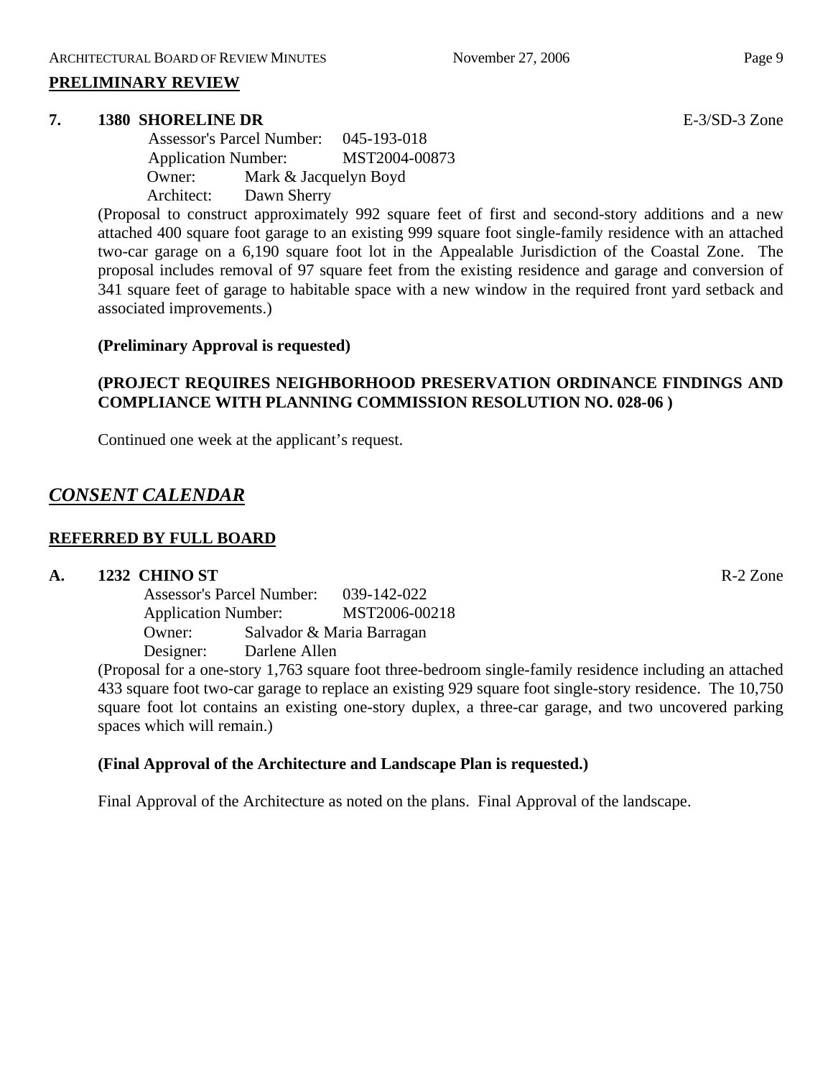#### **PRELIMINARY REVIEW**

#### **7. 1380 SHORELINE DR** E-3/SD-3 Zone

 Assessor's Parcel Number: 045-193-018 Application Number: MST2004-00873 Owner: Mark & Jacquelyn Boyd Architect: Dawn Sherry

(Proposal to construct approximately 992 square feet of first and second-story additions and a new attached 400 square foot garage to an existing 999 square foot single-family residence with an attached two-car garage on a 6,190 square foot lot in the Appealable Jurisdiction of the Coastal Zone. The proposal includes removal of 97 square feet from the existing residence and garage and conversion of 341 square feet of garage to habitable space with a new window in the required front yard setback and associated improvements.)

#### **(Preliminary Approval is requested)**

# **(PROJECT REQUIRES NEIGHBORHOOD PRESERVATION ORDINANCE FINDINGS AND COMPLIANCE WITH PLANNING COMMISSION RESOLUTION NO. 028-06 )**

Continued one week at the applicant's request.

# *CONSENT CALENDAR*

# **REFERRED BY FULL BOARD**

# **A. 1232 CHINO ST** R-2 Zone

Assessor's Parcel Number: 039-142-022 Application Number: MST2006-00218 Owner: Salvador & Maria Barragan Designer: Darlene Allen

(Proposal for a one-story 1,763 square foot three-bedroom single-family residence including an attached 433 square foot two-car garage to replace an existing 929 square foot single-story residence. The 10,750 square foot lot contains an existing one-story duplex, a three-car garage, and two uncovered parking spaces which will remain.)

# **(Final Approval of the Architecture and Landscape Plan is requested.)**

Final Approval of the Architecture as noted on the plans. Final Approval of the landscape.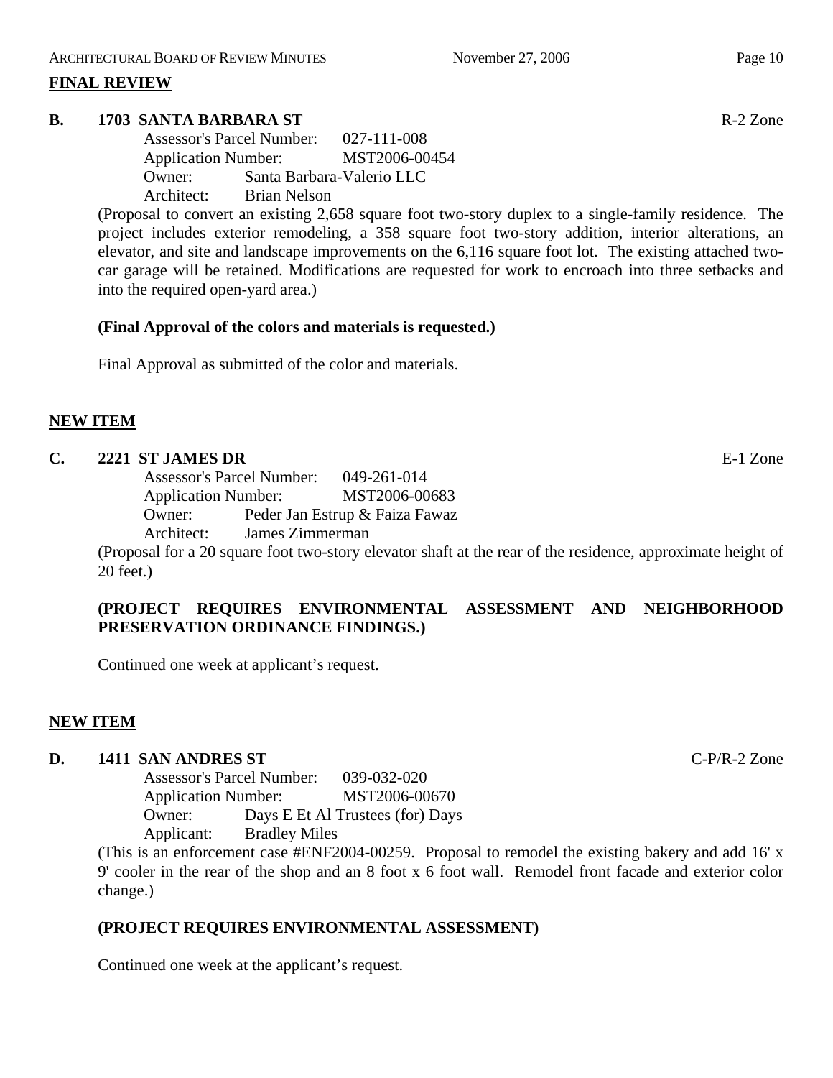# **FINAL REVIEW**

# **B. 1703 SANTA BARBARA ST** R-2 Zone

Assessor's Parcel Number: 027-111-008 Application Number: MST2006-00454 Owner: Santa Barbara-Valerio LLC Architect: Brian Nelson

(Proposal to convert an existing 2,658 square foot two-story duplex to a single-family residence. The project includes exterior remodeling, a 358 square foot two-story addition, interior alterations, an elevator, and site and landscape improvements on the 6,116 square foot lot. The existing attached twocar garage will be retained. Modifications are requested for work to encroach into three setbacks and into the required open-yard area.)

# **(Final Approval of the colors and materials is requested.)**

Final Approval as submitted of the color and materials.

# **NEW ITEM**

# **C. 2221 ST JAMES DR** E-1 Zone

Assessor's Parcel Number: 049-261-014 Application Number: MST2006-00683 Owner: Peder Jan Estrup & Faiza Fawaz

Architect: James Zimmerman

(Proposal for a 20 square foot two-story elevator shaft at the rear of the residence, approximate height of 20 feet.)

# **(PROJECT REQUIRES ENVIRONMENTAL ASSESSMENT AND NEIGHBORHOOD PRESERVATION ORDINANCE FINDINGS.)**

Continued one week at applicant's request.

# **NEW ITEM**

# **D. 1411 SAN ANDRES ST** C-P/R-2 Zone

Assessor's Parcel Number: 039-032-020 Application Number: MST2006-00670 Owner: Days E Et Al Trustees (for) Days Applicant: Bradley Miles

(This is an enforcement case #ENF2004-00259. Proposal to remodel the existing bakery and add 16' x 9' cooler in the rear of the shop and an 8 foot x 6 foot wall. Remodel front facade and exterior color change.)

# **(PROJECT REQUIRES ENVIRONMENTAL ASSESSMENT)**

Continued one week at the applicant's request.